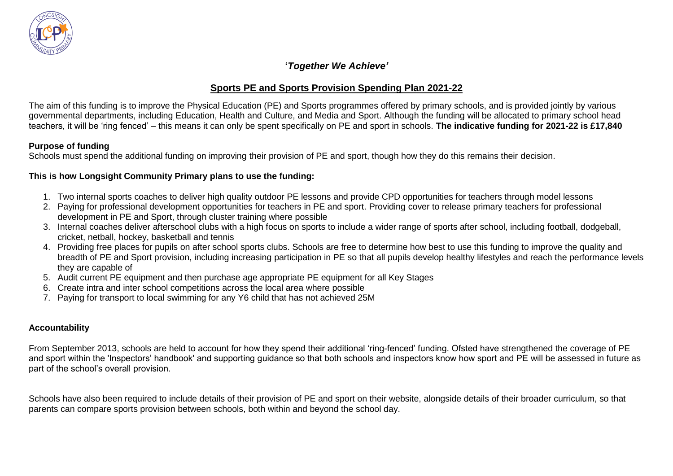

## **Sports PE and Sports Provision Spending Plan 2021-22**

The aim of this funding is to improve the Physical Education (PE) and Sports programmes offered by primary schools, and is provided jointly by various governmental departments, including Education, Health and Culture, and Media and Sport. Although the funding will be allocated to primary school head teachers, it will be 'ring fenced' – this means it can only be spent specifically on PE and sport in schools. **The indicative funding for 2021-22 is £17,840**

### **Purpose of funding**

Schools must spend the additional funding on improving their provision of PE and sport, though how they do this remains their decision.

#### **This is how Longsight Community Primary plans to use the funding:**

- 1. Two internal sports coaches to deliver high quality outdoor PE lessons and provide CPD opportunities for teachers through model lessons
- 2. Paying for professional development opportunities for teachers in PE and sport. Providing cover to release primary teachers for professional development in PE and Sport, through cluster training where possible
- 3. Internal coaches deliver afterschool clubs with a high focus on sports to include a wider range of sports after school, including football, dodgeball, cricket, netball, hockey, basketball and tennis
- 4. Providing free places for pupils on after school sports clubs. Schools are free to determine how best to use this funding to improve the quality and breadth of PE and Sport provision, including increasing participation in PE so that all pupils develop healthy lifestyles and reach the performance levels they are capable of
- 5. Audit current PE equipment and then purchase age appropriate PE equipment for all Key Stages
- 6. Create intra and inter school competitions across the local area where possible
- 7. Paying for transport to local swimming for any Y6 child that has not achieved 25M

### **Accountability**

From September 2013, schools are held to account for how they spend their additional 'ring-fenced' funding. Ofsted have strengthened the coverage of PE and sport within the 'Inspectors' handbook' and supporting guidance so that both schools and inspectors know how sport and PE will be assessed in future as part of the school's overall provision.

Schools have also been required to include details of their provision of PE and sport on their website, alongside details of their broader curriculum, so that parents can compare sports provision between schools, both within and beyond the school day.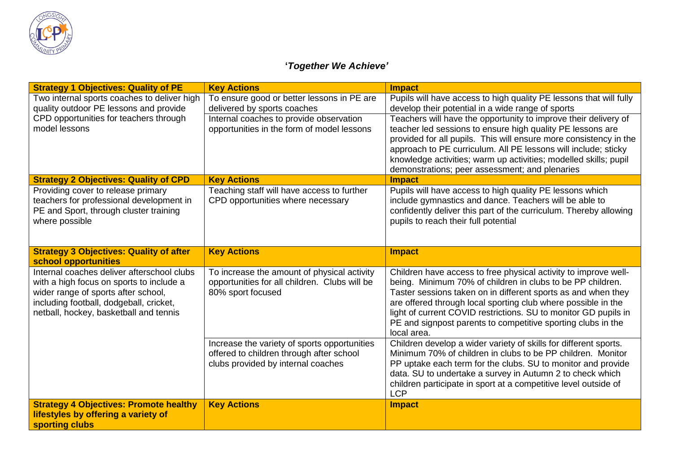

| <b>Strategy 1 Objectives: Quality of PE</b>                                                                                                                                                                        | <b>Key Actions</b>                                                                                                             | <b>Impact</b>                                                                                                                                                                                                                                                                                                                                                                                                     |
|--------------------------------------------------------------------------------------------------------------------------------------------------------------------------------------------------------------------|--------------------------------------------------------------------------------------------------------------------------------|-------------------------------------------------------------------------------------------------------------------------------------------------------------------------------------------------------------------------------------------------------------------------------------------------------------------------------------------------------------------------------------------------------------------|
| Two internal sports coaches to deliver high<br>quality outdoor PE lessons and provide                                                                                                                              | To ensure good or better lessons in PE are<br>delivered by sports coaches                                                      | Pupils will have access to high quality PE lessons that will fully<br>develop their potential in a wide range of sports                                                                                                                                                                                                                                                                                           |
| CPD opportunities for teachers through<br>model lessons                                                                                                                                                            | Internal coaches to provide observation<br>opportunities in the form of model lessons                                          | Teachers will have the opportunity to improve their delivery of<br>teacher led sessions to ensure high quality PE lessons are<br>provided for all pupils. This will ensure more consistency in the<br>approach to PE curriculum. All PE lessons will include; sticky<br>knowledge activities; warm up activities; modelled skills; pupil<br>demonstrations; peer assessment; and plenaries                        |
| <b>Strategy 2 Objectives: Quality of CPD</b>                                                                                                                                                                       | <b>Key Actions</b>                                                                                                             | <b>Impact</b>                                                                                                                                                                                                                                                                                                                                                                                                     |
| Providing cover to release primary<br>teachers for professional development in<br>PE and Sport, through cluster training<br>where possible                                                                         | Teaching staff will have access to further<br>CPD opportunities where necessary                                                | Pupils will have access to high quality PE lessons which<br>include gymnastics and dance. Teachers will be able to<br>confidently deliver this part of the curriculum. Thereby allowing<br>pupils to reach their full potential                                                                                                                                                                                   |
| <b>Strategy 3 Objectives: Quality of after</b><br>school opportunities                                                                                                                                             | <b>Key Actions</b>                                                                                                             | <b>Impact</b>                                                                                                                                                                                                                                                                                                                                                                                                     |
| Internal coaches deliver afterschool clubs<br>with a high focus on sports to include a<br>wider range of sports after school,<br>including football, dodgeball, cricket,<br>netball, hockey, basketball and tennis | To increase the amount of physical activity<br>opportunities for all children. Clubs will be<br>80% sport focused              | Children have access to free physical activity to improve well-<br>being. Minimum 70% of children in clubs to be PP children.<br>Taster sessions taken on in different sports as and when they<br>are offered through local sporting club where possible in the<br>light of current COVID restrictions. SU to monitor GD pupils in<br>PE and signpost parents to competitive sporting clubs in the<br>local area. |
|                                                                                                                                                                                                                    | Increase the variety of sports opportunities<br>offered to children through after school<br>clubs provided by internal coaches | Children develop a wider variety of skills for different sports.<br>Minimum 70% of children in clubs to be PP children. Monitor<br>PP uptake each term for the clubs. SU to monitor and provide<br>data. SU to undertake a survey in Autumn 2 to check which<br>children participate in sport at a competitive level outside of<br><b>LCP</b>                                                                     |
| <b>Strategy 4 Objectives: Promote healthy</b><br>lifestyles by offering a variety of<br>sporting clubs                                                                                                             | <b>Key Actions</b>                                                                                                             | <b>Impact</b>                                                                                                                                                                                                                                                                                                                                                                                                     |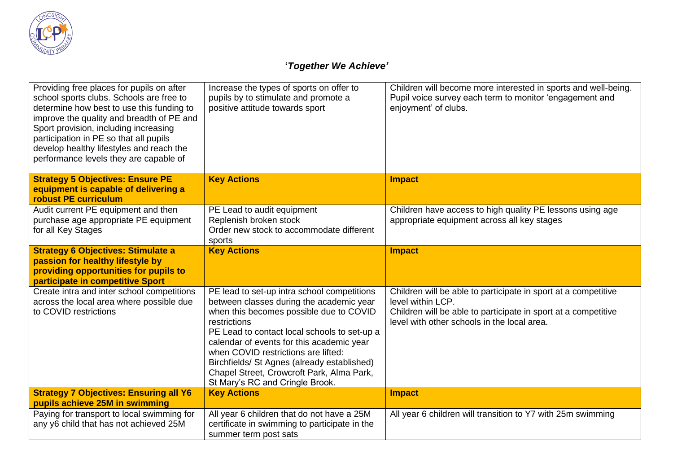

| Providing free places for pupils on after<br>school sports clubs. Schools are free to<br>determine how best to use this funding to<br>improve the quality and breadth of PE and<br>Sport provision, including increasing<br>participation in PE so that all pupils<br>develop healthy lifestyles and reach the<br>performance levels they are capable of | Increase the types of sports on offer to<br>pupils by to stimulate and promote a<br>positive attitude towards sport                                                                                                                                                                                                                                                                                                   | Children will become more interested in sports and well-being.<br>Pupil voice survey each term to monitor 'engagement and<br>enjoyment' of clubs.                                                    |
|----------------------------------------------------------------------------------------------------------------------------------------------------------------------------------------------------------------------------------------------------------------------------------------------------------------------------------------------------------|-----------------------------------------------------------------------------------------------------------------------------------------------------------------------------------------------------------------------------------------------------------------------------------------------------------------------------------------------------------------------------------------------------------------------|------------------------------------------------------------------------------------------------------------------------------------------------------------------------------------------------------|
| <b>Strategy 5 Objectives: Ensure PE</b><br>equipment is capable of delivering a<br><b>robust PE curriculum</b>                                                                                                                                                                                                                                           | <b>Key Actions</b>                                                                                                                                                                                                                                                                                                                                                                                                    | <b>Impact</b>                                                                                                                                                                                        |
| Audit current PE equipment and then<br>purchase age appropriate PE equipment<br>for all Key Stages                                                                                                                                                                                                                                                       | PE Lead to audit equipment<br>Replenish broken stock<br>Order new stock to accommodate different<br>sports                                                                                                                                                                                                                                                                                                            | Children have access to high quality PE lessons using age<br>appropriate equipment across all key stages                                                                                             |
| <b>Strategy 6 Objectives: Stimulate a</b><br>passion for healthy lifestyle by<br>providing opportunities for pupils to<br>participate in competitive Sport                                                                                                                                                                                               | <b>Key Actions</b>                                                                                                                                                                                                                                                                                                                                                                                                    | <b>Impact</b>                                                                                                                                                                                        |
| Create intra and inter school competitions<br>across the local area where possible due<br>to COVID restrictions                                                                                                                                                                                                                                          | PE lead to set-up intra school competitions<br>between classes during the academic year<br>when this becomes possible due to COVID<br>restrictions<br>PE Lead to contact local schools to set-up a<br>calendar of events for this academic year<br>when COVID restrictions are lifted:<br>Birchfields/ St Agnes (already established)<br>Chapel Street, Crowcroft Park, Alma Park,<br>St Mary's RC and Cringle Brook. | Children will be able to participate in sport at a competitive<br>level within LCP.<br>Children will be able to participate in sport at a competitive<br>level with other schools in the local area. |
| <b>Strategy 7 Objectives: Ensuring all Y6</b><br>pupils achieve 25M in swimming                                                                                                                                                                                                                                                                          | <b>Key Actions</b>                                                                                                                                                                                                                                                                                                                                                                                                    | <b>Impact</b>                                                                                                                                                                                        |
| Paying for transport to local swimming for<br>any y6 child that has not achieved 25M                                                                                                                                                                                                                                                                     | All year 6 children that do not have a 25M<br>certificate in swimming to participate in the<br>summer term post sats                                                                                                                                                                                                                                                                                                  | All year 6 children will transition to Y7 with 25m swimming                                                                                                                                          |